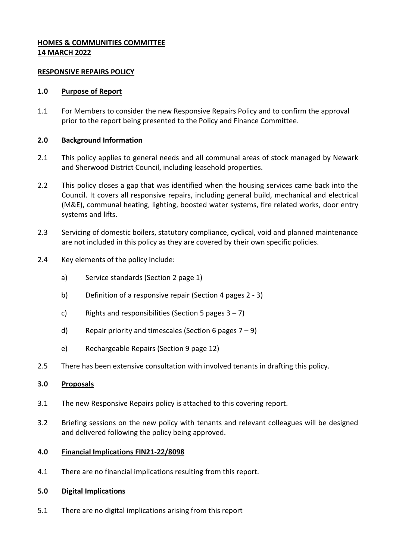# **HOMES & COMMUNITIES COMMITTEE 14 MARCH 2022**

### **RESPONSIVE REPAIRS POLICY**

### **1.0 Purpose of Report**

1.1 For Members to consider the new Responsive Repairs Policy and to confirm the approval prior to the report being presented to the Policy and Finance Committee.

# **2.0 Background Information**

- 2.1 This policy applies to general needs and all communal areas of stock managed by Newark and Sherwood District Council, including leasehold properties.
- 2.2 This policy closes a gap that was identified when the housing services came back into the Council. It covers all responsive repairs, including general build, mechanical and electrical (M&E), communal heating, lighting, boosted water systems, fire related works, door entry systems and lifts.
- 2.3 Servicing of domestic boilers, statutory compliance, cyclical, void and planned maintenance are not included in this policy as they are covered by their own specific policies.
- 2.4 Key elements of the policy include:
	- a) Service standards (Section 2 page 1)
	- b) Definition of a responsive repair (Section 4 pages 2 3)
	- c) Rights and responsibilities (Section 5 pages  $3 7$ )
	- d) Repair priority and timescales (Section 6 pages  $7 9$ )
	- e) Rechargeable Repairs (Section 9 page 12)
- 2.5 There has been extensive consultation with involved tenants in drafting this policy.

### **3.0 Proposals**

- 3.1 The new Responsive Repairs policy is attached to this covering report.
- 3.2 Briefing sessions on the new policy with tenants and relevant colleagues will be designed and delivered following the policy being approved.

#### **4.0 Financial Implications FIN21-22/8098**

4.1 There are no financial implications resulting from this report.

#### **5.0 Digital Implications**

5.1 There are no digital implications arising from this report